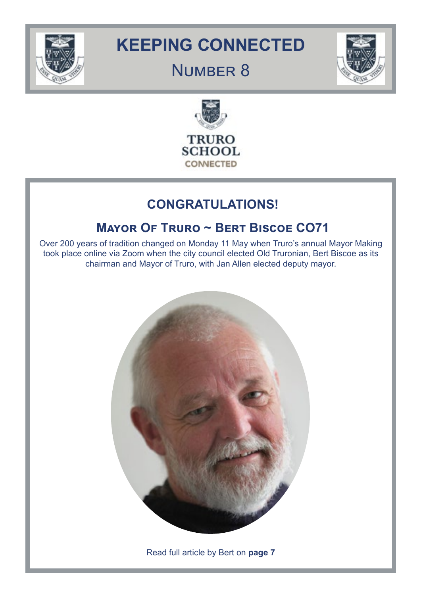

# **KEEPING CONNECTED**

# NUMBER 8





# **CONGRATULATIONS!**

# **Mayor Of Truro ~ Bert Biscoe CO71**

Over 200 years of tradition changed on Monday 11 May when Truro's annual Mayor Making took place online via Zoom when the city council elected Old Truronian, Bert Biscoe as its chairman and Mayor of Truro, with Jan Allen elected deputy mayor.



Read full article by Bert on **page 7**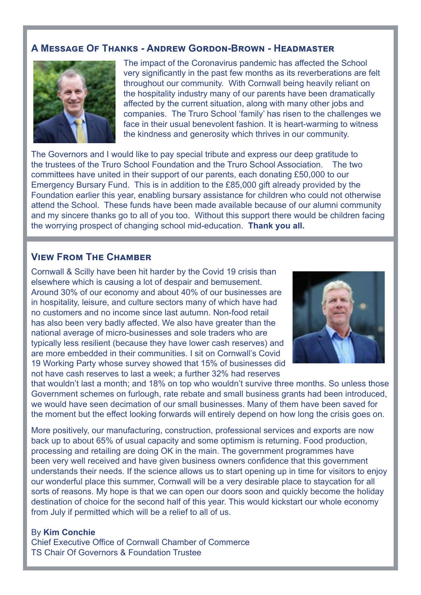#### **A Message Of Thanks - Andrew Gordon-Brown - Headmaster**



The impact of the Coronavirus pandemic has affected the School very significantly in the past few months as its reverberations are felt throughout our community. With Cornwall being heavily reliant on the hospitality industry many of our parents have been dramatically affected by the current situation, along with many other jobs and companies. The Truro School 'family' has risen to the challenges we face in their usual benevolent fashion. It is heart-warming to witness the kindness and generosity which thrives in our community.

The Governors and I would like to pay special tribute and express our deep gratitude to the trustees of the Truro School Foundation and the Truro School Association. The two committees have united in their support of our parents, each donating £50,000 to our Emergency Bursary Fund. This is in addition to the £85,000 gift already provided by the Foundation earlier this year, enabling bursary assistance for children who could not otherwise attend the School. These funds have been made available because of our alumni community and my sincere thanks go to all of you too. Without this support there would be children facing the worrying prospect of changing school mid-education. **Thank you all.**

#### **View From The Chamber**

Cornwall & Scilly have been hit harder by the Covid 19 crisis than elsewhere which is causing a lot of despair and bemusement. Around 30% of our economy and about 40% of our businesses are in hospitality, leisure, and culture sectors many of which have had no customers and no income since last autumn. Non-food retail has also been very badly affected. We also have greater than the national average of micro-businesses and sole traders who are typically less resilient (because they have lower cash reserves) and are more embedded in their communities. I sit on Cornwall's Covid 19 Working Party whose survey showed that 15% of businesses did not have cash reserves to last a week; a further 32% had reserves



that wouldn't last a month; and 18% on top who wouldn't survive three months. So unless those Government schemes on furlough, rate rebate and small business grants had been introduced, we would have seen decimation of our small businesses. Many of them have been saved for the moment but the effect looking forwards will entirely depend on how long the crisis goes on.

More positively, our manufacturing, construction, professional services and exports are now back up to about 65% of usual capacity and some optimism is returning. Food production, processing and retailing are doing OK in the main. The government programmes have been very well received and have given business owners confidence that this government understands their needs. If the science allows us to start opening up in time for visitors to enjoy our wonderful place this summer, Cornwall will be a very desirable place to staycation for all sorts of reasons. My hope is that we can open our doors soon and quickly become the holiday destination of choice for the second half of this year. This would kickstart our whole economy from July if permitted which will be a relief to all of us.

#### By **Kim Conchie**

Chief Executive Office of Cornwall Chamber of Commerce TS Chair Of Governors & Foundation Trustee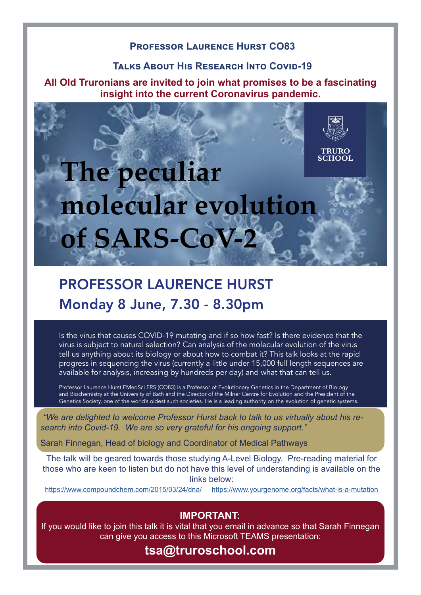### **Professor Laurence Hurst CO83**

#### **Talks About His Research Into Covid-19**

**All Old Truronians are invited to join what promises to be a fascinating insight into the current Coronavirus pandemic.**

# **TRURO SCHOOL The peculiar molecular evolution of SARS-CoV-2**

# PROFESSOR LAURENCE HURST Monday 8 June, 7.30 - 8.30pm

Is the virus that causes COVID-19 mutating and if so how fast? Is there evidence that the virus is subject to natural selection? Can analysis of the molecular evolution of the virus tell us anything about its biology or about how to combat it? This talk looks at the rapid progress in sequencing the virus (currently a little under 15,000 full length sequences are available for analysis, increasing by hundreds per day) and what that can tell us.

Professor Laurence Hurst FMedSci FRS (CO83) is a Professor of Evolutionary Genetics in the Department of Biology and Biochemistry at the University of Bath and the Director of the Milner Centre for Evolution and the President of the Genetics Society, one of the world's oldest such societies. He is a leading authority on the evolution of genetic systems.

*"We are delighted to welcome Professor Hurst back to talk to us virtually about his research into Covid-19. We are so "We are delighted to welcome Professor Hurst back to talk to us virtually about his research into Covid-19. We are so very grateful for his ongoing support."* 

Sarah Finnegan, Head of biology and Coordinator of Medical Pathways https://www.compoundchem.com/2015/03/24/dna/ https://www.yourgenome.org/facts/what-is-a-mutation

those who are keen to listen but do not have this level of understanding is available on the The talk will be geared towards those studying A-Level Biology. Pre-reading material for links below:

<https://www.compoundchem.com/2015/03/24/dna/>[https://www.yourgenome.org/facts/what-is-a-mutation](https://www.yourgenome.org/facts/what-is-a-mutation ) 

# **IMPORTANT:**

If you would like to join this talk it is vital that you email in advance so that Sarah Finnegan can give you access to this Microsoft TEAMS presentation:

# **tsa@truroschool.com**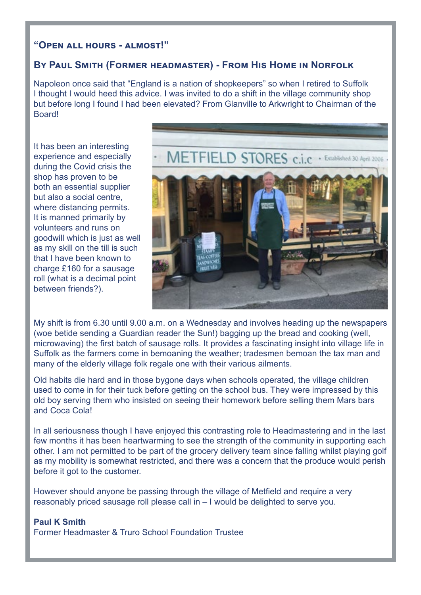#### **"Open all hours - almost!"**

#### **By Paul Smith (Former headmaster) - From His Home in Norfolk**

Napoleon once said that "England is a nation of shopkeepers" so when I retired to Suffolk I thought I would heed this advice. I was invited to do a shift in the village community shop but before long I found I had been elevated? From Glanville to Arkwright to Chairman of the **Board!** 

It has been an interesting experience and especially during the Covid crisis the shop has proven to be both an essential supplier but also a social centre, where distancing permits. It is manned primarily by volunteers and runs on goodwill which is just as well as my skill on the till is such that I have been known to charge £160 for a sausage roll (what is a decimal point between friends?).



My shift is from 6.30 until 9.00 a.m. on a Wednesday and involves heading up the newspapers (woe betide sending a Guardian reader the Sun!) bagging up the bread and cooking (well, microwaving) the first batch of sausage rolls. It provides a fascinating insight into village life in Suffolk as the farmers come in bemoaning the weather; tradesmen bemoan the tax man and many of the elderly village folk regale one with their various ailments.

Old habits die hard and in those bygone days when schools operated, the village children used to come in for their tuck before getting on the school bus. They were impressed by this old boy serving them who insisted on seeing their homework before selling them Mars bars and Coca Cola!

In all seriousness though I have enjoyed this contrasting role to Headmastering and in the last few months it has been heartwarming to see the strength of the community in supporting each other. I am not permitted to be part of the grocery delivery team since falling whilst playing golf as my mobility is somewhat restricted, and there was a concern that the produce would perish before it got to the customer.

However should anyone be passing through the village of Metfield and require a very reasonably priced sausage roll please call in – I would be delighted to serve you.

#### **Paul K Smith**

Former Headmaster & Truro School Foundation Trustee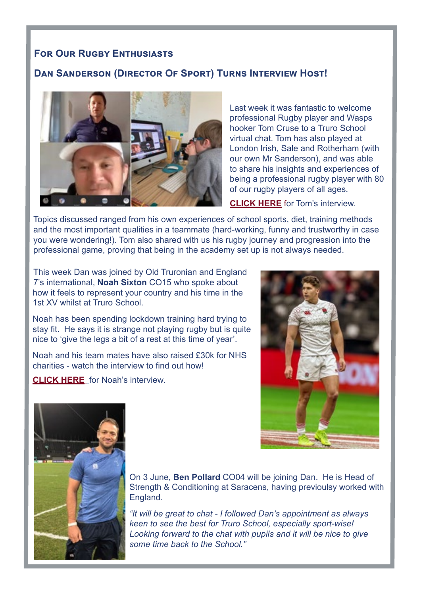#### **FOR OUR RUGBY ENTHUSIASTS**

#### **Dan Sanderson (Director Of Sport) Turns Interview Host!**



Last week it was fantastic to welcome professional Rugby player and Wasps hooker Tom Cruse to a Truro School virtual chat. Tom has also played at London Irish, Sale and Rotherham (with our own Mr Sanderson), and was able to share his insights and experiences of being a professional rugby player with 80 of our rugby players of all ages.

**[CLICK HERE](https://truroschool-my.sharepoint.com/:v:/p/djs/ESlAbKKt3D5LruDsd5QNgckBRb95GhgO8viNWnTnm4bzMQ?e=oWOc6M)** for Tom's interview.

Topics discussed ranged from his own experiences of school sports, diet, training methods and the most important qualities in a teammate (hard-working, funny and trustworthy in case you were wondering!). Tom also shared with us his rugby journey and progression into the professional game, proving that being in the academy set up is not always needed.

This week Dan was joined by Old Truronian and England 7's international, **Noah Sixton** CO15 who spoke about how it feels to represent your country and his time in the 1st XV whilst at Truro School.

Noah has been spending lockdown training hard trying to stay fit. He says it is strange not playing rugby but is quite nice to 'give the legs a bit of a rest at this time of year'.

Noah and his team mates have also raised £30k for NHS charities - watch the interview to find out how!

**[CLICK HERE](https://truroschool-my.sharepoint.com/:v:/p/djs/Eec04OlpnTtBlMZd2JZ8YxEB8wbeESr0dcTUl2cd-J5BtQ?e=l7svJa)** for Noah's interview.





On 3 June, **Ben Pollard** CO04 will be joining Dan. He is Head of Strength & Conditioning at Saracens, having previoulsy worked with England.

*"It will be great to chat - I followed Dan's appointment as always keen to see the best for Truro School, especially sport-wise! Looking forward to the chat with pupils and it will be nice to give some time back to the School."*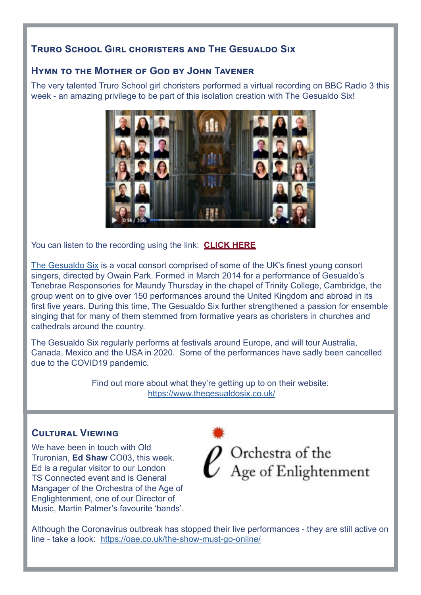# **Truro School Girl choristers and The Gesualdo Six**

# **Hymn to the Mother of God by John Tavener**

The very talented Truro School girl choristers performed a virtual recording on BBC Radio 3 this week - an amazing privilege to be part of this isolation creation with The Gesualdo Six!



You can listen to the recording using the link: **[CLICK HERE](https://www.facebook.com/TheGesualdoSix/videos/2532364510426217)**

[The Gesualdo Six](https://www.thegesualdosix.co.uk/) is a vocal consort comprised of some of the UK's finest young consort singers, directed by Owain Park. Formed in March 2014 for a performance of Gesualdo's Tenebrae Responsories for Maundy Thursday in the chapel of Trinity College, Cambridge, the group went on to give over 150 performances around the United Kingdom and abroad in its first five years. During this time, The Gesualdo Six further strengthened a passion for ensemble singing that for many of them stemmed from formative years as choristers in churches and cathedrals around the country.

The Gesualdo Six regularly performs at festivals around Europe, and will tour Australia, Canada, Mexico and the USA in 2020. Some of the performances have sadly been cancelled due to the COVID19 pandemic.

> Find out more about what they're getting up to on their website: [https://www.thegesualdosix.co.uk/](https://www.thegesualdosix.co.uk/ )

# **Cultural Viewing**

We have been in touch with Old Truronian, **Ed Shaw** CO03, this week. Ed is a regular visitor to our London TS Connected event and is General Mangager of the Orchestra of the Age of Englightenment, one of our Director of Music, Martin Palmer's favourite 'bands'.



Although the Coronavirus outbreak has stopped their live performances - they are still active on line - take a look: <https://oae.co.uk/the-show-must-go-online/>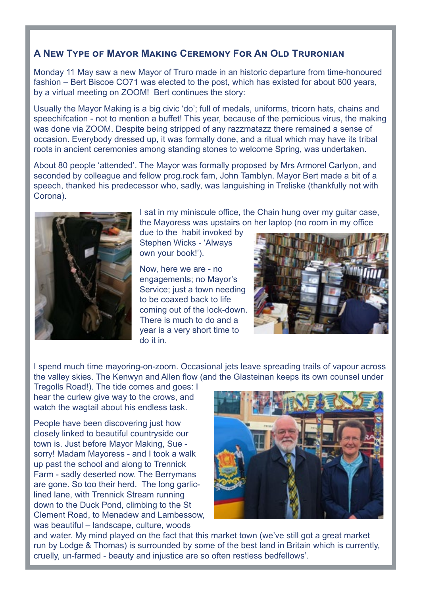# **A New Type of Mayor Making Ceremony For An Old Truronian**

Monday 11 May saw a new Mayor of Truro made in an historic departure from time-honoured fashion – Bert Biscoe CO71 was elected to the post, which has existed for about 600 years, by a virtual meeting on ZOOM! Bert continues the story:

Usually the Mayor Making is a big civic 'do'; full of medals, uniforms, tricorn hats, chains and speechifcation - not to mention a buffet! This year, because of the pernicious virus, the making was done via ZOOM. Despite being stripped of any razzmatazz there remained a sense of occasion. Everybody dressed up, it was formally done, and a ritual which may have its tribal roots in ancient ceremonies among standing stones to welcome Spring, was undertaken.

About 80 people 'attended'. The Mayor was formally proposed by Mrs Armorel Carlyon, and seconded by colleague and fellow prog.rock fam, John Tamblyn. Mayor Bert made a bit of a speech, thanked his predecessor who, sadly, was languishing in Treliske (thankfully not with Corona).



I sat in my miniscule office, the Chain hung over my guitar case, the Mayoress was upstairs on her laptop (no room in my office

due to the habit invoked by Stephen Wicks - 'Always own your book!').

Now, here we are - no engagements; no Mayor's Service; just a town needing to be coaxed back to life coming out of the lock-down. There is much to do and a year is a very short time to do it in.



I spend much time mayoring-on-zoom. Occasional jets leave spreading trails of vapour across the valley skies. The Kenwyn and Allen flow (and the Glasteinan keeps its own counsel under

Tregolls Road!). The tide comes and goes: I hear the curlew give way to the crows, and watch the wagtail about his endless task.

People have been discovering just how closely linked to beautiful countryside our town is. Just before Mayor Making, Sue sorry! Madam Mayoress - and I took a walk up past the school and along to Trennick Farm - sadly deserted now. The Berrymans are gone. So too their herd. The long garliclined lane, with Trennick Stream running down to the Duck Pond, climbing to the St Clement Road, to Menadew and Lambessow, was beautiful – landscape, culture, woods



and water. My mind played on the fact that this market town (we've still got a great market run by Lodge & Thomas) is surrounded by some of the best land in Britain which is currently, cruelly, un-farmed - beauty and injustice are so often restless bedfellows'.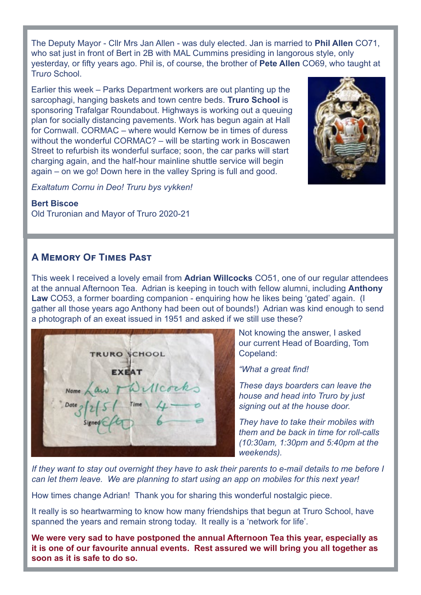The Deputy Mayor - Cllr Mrs Jan Allen - was duly elected. Jan is married to **Phil Allen** CO71, who sat just in front of Bert in 2B with MAL Cummins presiding in langorous style, only yesterday, or fifty years ago. Phil is, of course, the brother of **Pete Allen** CO69, who taught at Tru*ro* School.

Earlier this week – Parks Department workers are out planting up the sarcophagi, hanging baskets and town centre beds. **Truro School** is sponsoring Trafalgar Roundabout. Highways is working out a queuing plan for socially distancing pavements. Work has begun again at Hall for Cornwall. CORMAC – where would Kernow be in times of duress without the wonderful CORMAC? – will be starting work in Boscawen Street to refurbish its wonderful surface; soon, the car parks will start charging again, and the half-hour mainline shuttle service will begin again – on we go! Down here in the valley Spring is full and good.



*Exaltatum Cornu in Deo! Truru bys vykken!*

#### **Bert Biscoe**

Old Truronian and Mayor of Truro 2020-21

# **A Memory Of Times Past**

This week I received a lovely email from **Adrian Willcocks** CO51, one of our regular attendees at the annual Afternoon Tea. Adrian is keeping in touch with fellow alumni, including **Anthony Law** CO53, a former boarding companion - enquiring how he likes being 'gated' again. (I gather all those years ago Anthony had been out of bounds!) Adrian was kind enough to send a photograph of an exeat issued in 1951 and asked if we still use these?

**TRURO SCHOOL FYRAT** 

Not knowing the answer, I asked our current Head of Boarding, Tom Copeland:

*"What a great find!* 

*These days boarders can leave the house and head into Truro by just signing out at the house door.* 

*They have to take their mobiles with them and be back in time for roll-calls (10:30am, 1:30pm and 5:40pm at the weekends).* 

*If they want to stay out overnight they have to ask their parents to e-mail details to me before I can let them leave. We are planning to start using an app on mobiles for this next year!*

How times change Adrian! Thank you for sharing this wonderful nostalgic piece.

It really is so heartwarming to know how many friendships that begun at Truro School, have spanned the years and remain strong today. It really is a 'network for life'.

**We were very sad to have postponed the annual Afternoon Tea this year, especially as it is one of our favourite annual events. Rest assured we will bring you all together as soon as it is safe to do so.**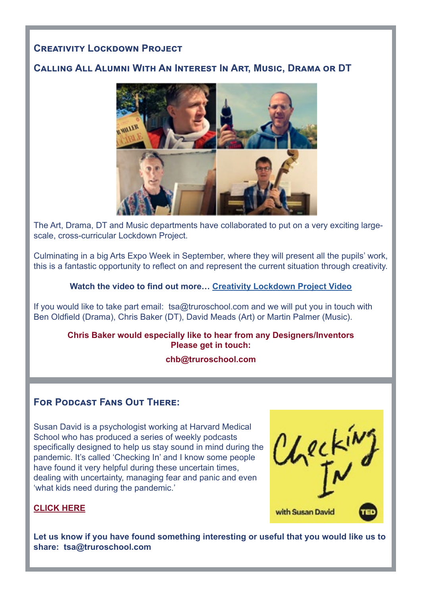# **Creativity Lockdown Project**

# **Calling All Alumni With An Interest In Art, Music, Drama or DT**



The Art, Drama, DT and Music departments have collaborated to put on a very exciting largescale, cross-curricular Lockdown Project.

Culminating in a big Arts Expo Week in September, where they will present all the pupils' work, this is a fantastic opportunity to reflect on and represent the current situation through creativity.

#### **Watch the video to find out more… [Creativity Lockdown Project Video](https://www.truroschool.com/latest-news/the-lockdown-project/)**

[If you would like to take part email: tsa@truroschool.com](If you would like to take part email:  tsa@truroschool.com ) and we will put you in touch with Ben Oldfield (Drama), Chris Baker (DT), David Meads (Art) or Martin Palmer (Music).

#### **Chris Baker would especially like to hear from any Designers/Inventors Please get in touch:**

#### **chb@truroschool.com**

#### **For Podcast Fans Out There:**

Susan David is a psychologist working at Harvard Medical School who has produced a series of weekly podcasts specifically designed to help us stay sound in mind during the pandemic. It's called 'Checking In' and I know some people have found it very helpful during these uncertain times, dealing with uncertainty, managing fear and panic and even 'what kids need during the pandemic.'



#### **[CLICK HERE](https://www.ted.com/podcasts/checking-in)**

**[Let us know if you have found something interesting or useful that you would like us to](http://Let us know if you have found something interesting that you would like us to share.)  [share:](http://Let us know if you have found something interesting that you would like us to share.) tsa@truroschool.com**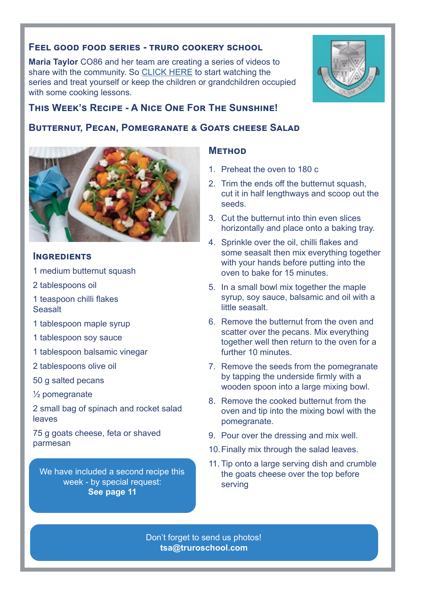#### **Feel good food series - truro cookery school**

**Maria Taylor** CO86 and her team are creating a series of videos to share with the community. So [CLICK HERE](https://www.facebook.com/pg/truroschoolcookery/videos/?ref=page_internal) to start watching the series and treat yourself or keep the children or grandchildren occupied with some cooking lessons.



# **Butternut, Pecan, Pomegranate & Goats cheese Salad**



#### **Ingredients**

- 1 medium butternut squash
- 2 tablespoons oil
- 1 teaspoon chilli flakes **Seasalt**
- 1 tablespoon maple syrup
- 1 tablespoon soy sauce
- 1 tablespoon balsamic vinegar
- 2 tablespoons olive oil
- 50 g salted pecans
- ½ pomegranate

2 small bag of spinach and rocket salad leaves

75 g goats cheese, feta or shaved parmesan

We have included a second recipe this week - by special request: **See page 11**

#### **Method**

- 1. Preheat the oven to 180 c
- 2. Trim the ends off the butternut squash. cut it in half lengthways and scoop out the seeds.
- 3. Cut the butternut into thin even slices horizontally and place onto a baking tray.
- 4. Sprinkle over the oil, chilli flakes and some seasalt then mix everything together with your hands before putting into the oven to bake for 15 minutes.
- 5. In a small bowl mix together the maple syrup, soy sauce, balsamic and oil with a little seasalt.
- 6. Remove the butternut from the oven and scatter over the pecans. Mix everything together well then return to the oven for a further 10 minutes.
- 7. Remove the seeds from the pomegranate by tapping the underside firmly with a wooden spoon into a large mixing bowl.
- 8. Remove the cooked butternut from the oven and tip into the mixing bowl with the pomegranate.
- 9. Pour over the dressing and mix well.
- 10.Finally mix through the salad leaves.
- 11. Tip onto a large serving dish and crumble the goats cheese over the top before serving

Don't forget to send us photos! **tsa@truroschool.com** 

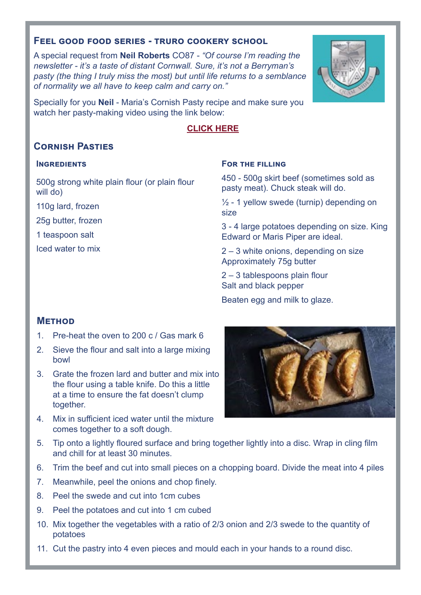#### **Feel good food series - truro cookery school**

A special request from **Neil Roberts** CO87 - *"Of course I'm reading the newsletter - it's a taste of distant Cornwall. Sure, it's not a Berryman's pasty (the thing I truly miss the most) but until life returns to a semblance of normality we all have to keep calm and carry on."*

Specially for you **Neil** - Maria's Cornish Pasty recipe and make sure you watch her pasty-making video using the link below:

#### **[CLICK HERE](https://www.facebook.com/503010663505853/videos/231730504718055)**

# **Cornish Pasties**

#### **INGREDIENTS**

500g strong white plain flour (or plain flour will do)

110g lard, frozen

25g butter, frozen

1 teaspoon salt

Iced water to mix

#### **For the filling**

450 - 500g skirt beef (sometimes sold as pasty meat). Chuck steak will do.

 $\frac{1}{2}$  - 1 yellow swede (turnip) depending on size

3 - 4 large potatoes depending on size. King Edward or Maris Piper are ideal.

2 – 3 white onions, depending on size Approximately 75g butter

2 – 3 tablespoons plain flour Salt and black pepper

Beaten egg and milk to glaze.

#### **Method**

- 1. Pre-heat the oven to 200 c / Gas mark 6
- 2. Sieve the flour and salt into a large mixing bowl
- 3. Grate the frozen lard and butter and mix into the flour using a table knife. Do this a little at a time to ensure the fat doesn't clump together.
- 4. Mix in sufficient iced water until the mixture comes together to a soft dough.



- 5. Tip onto a lightly floured surface and bring together lightly into a disc. Wrap in cling film and chill for at least 30 minutes.
- 6. Trim the beef and cut into small pieces on a chopping board. Divide the meat into 4 piles
- 7. Meanwhile, peel the onions and chop finely.
- 8. Peel the swede and cut into 1cm cubes
- 9. Peel the potatoes and cut into 1 cm cubed
- 10. Mix together the vegetables with a ratio of 2/3 onion and 2/3 swede to the quantity of potatoes
- 11. Cut the pastry into 4 even pieces and mould each in your hands to a round disc.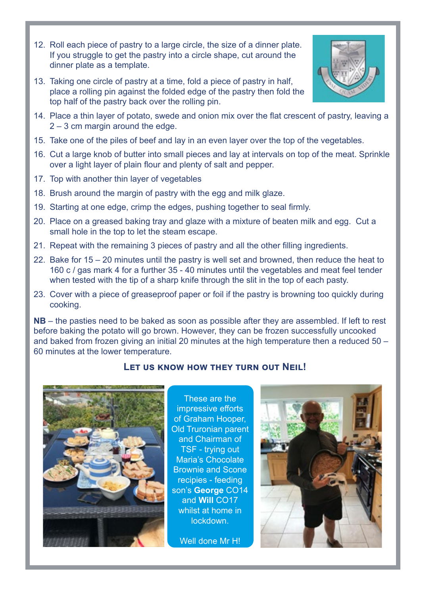- 12. Roll each piece of pastry to a large circle, the size of a dinner plate. If you struggle to get the pastry into a circle shape, cut around the dinner plate as a template.
- 13. Taking one circle of pastry at a time, fold a piece of pastry in half, place a rolling pin against the folded edge of the pastry then fold the top half of the pastry back over the rolling pin.



- 15. Take one of the piles of beef and lay in an even layer over the top of the vegetables.
- 16. Cut a large knob of butter into small pieces and lay at intervals on top of the meat. Sprinkle over a light layer of plain flour and plenty of salt and pepper.
- 17. Top with another thin layer of vegetables
- 18. Brush around the margin of pastry with the egg and milk glaze.
- 19. Starting at one edge, crimp the edges, pushing together to seal firmly.
- 20. Place on a greased baking tray and glaze with a mixture of beaten milk and egg. Cut a small hole in the top to let the steam escape.
- 21. Repeat with the remaining 3 pieces of pastry and all the other filling ingredients.
- 22. Bake for 15 20 minutes until the pastry is well set and browned, then reduce the heat to 160 c / gas mark 4 for a further 35 - 40 minutes until the vegetables and meat feel tender when tested with the tip of a sharp knife through the slit in the top of each pasty.
- 23. Cover with a piece of greaseproof paper or foil if the pastry is browning too quickly during cooking.

**NB** – the pasties need to be baked as soon as possible after they are assembled. If left to rest before baking the potato will go brown. However, they can be frozen successfully uncooked and baked from frozen giving an initial 20 minutes at the high temperature then a reduced 50 – 60 minutes at the lower temperature.

#### **Let us know how they turn out Neil!**



These are the impressive efforts of Graham Hooper, Old Truronian parent and Chairman of TSF - trying out Maria's Chocolate Brownie and Scone recipies - feeding son's **George** CO14 and **Will** CO17 whilst at home in lockdown.

Well done Mr H!